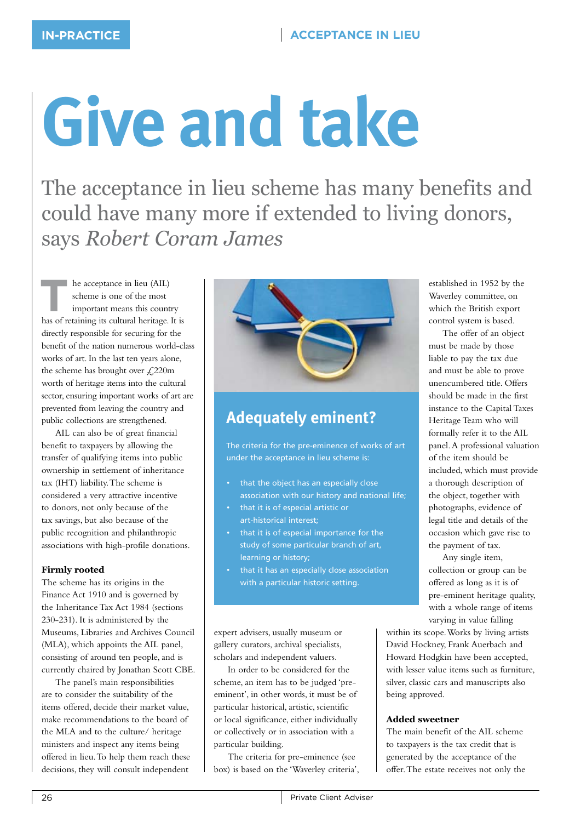# **Give and take**

The acceptance in lieu scheme has many benefits and could have many more if extended to living donors, says *Robert Coram James*

**THE ACCEPTE ACCEPTED**<br> **THE ACCEPTED**<br> **THE ENEXANT ENEXANT ENEXANT ENEXANT ENEXANT ENEXANT ENEXANT ENEXANT ENEXANT ENEXANT ENEXANT ENEXANT ENEXANT ENEXANT ENEXANT ENEXANT ENEXANT ENEXANT ENEXANT ENEXANT ENEXANT ENEXANT E** scheme is one of the most has of retaining its cultural heritage. It is directly responsible for securing for the benefit of the nation numerous world-class works of art. In the last ten years alone, the scheme has brought over  $\angle 220$ m worth of heritage items into the cultural sector, ensuring important works of art are prevented from leaving the country and public collections are strengthened.

AIL can also be of great financial benefit to taxpayers by allowing the transfer of qualifying items into public ownership in settlement of inheritance tax (IHT) liability. The scheme is considered a very attractive incentive to donors, not only because of the tax savings, but also because of the public recognition and philanthropic associations with high-profile donations.

### **Firmly rooted**

The scheme has its origins in the Finance Act 1910 and is governed by the Inheritance Tax Act 1984 (sections 230-231). It is administered by the Museums, Libraries and Archives Council (MLA), which appoints the AIL panel, consisting of around ten people, and is currently chaired by Jonathan Scott CBE.

The panel's main responsibilities are to consider the suitability of the items offered, decide their market value, make recommendations to the board of the MLA and to the culture/ heritage ministers and inspect any items being offered in lieu. To help them reach these decisions, they will consult independent



## **Adequately eminent?**

The criteria for the pre-eminence of works of art under the acceptance in lieu scheme is:

- that the object has an especially close association with our history and national life;
- that it is of especial artistic or art-historical interest;
- that it is of especial importance for the study of some particular branch of art, learning or history;
- that it has an especially close association with a particular historic setting.

expert advisers, usually museum or gallery curators, archival specialists, scholars and independent valuers.

In order to be considered for the scheme, an item has to be judged 'preeminent', in other words, it must be of particular historical, artistic, scientific or local significance, either individually or collectively or in association with a particular building.

The criteria for pre-eminence (see box) is based on the 'Waverley criteria', established in 1952 by the Waverley committee, on which the British export control system is based.

The offer of an object must be made by those liable to pay the tax due and must be able to prove unencumbered title. Offers should be made in the first instance to the Capital Taxes Heritage Team who will formally refer it to the AIL panel. A professional valuation of the item should be included, which must provide a thorough description of the object, together with photographs, evidence of legal title and details of the occasion which gave rise to the payment of tax.

Any single item, collection or group can be offered as long as it is of pre-eminent heritage quality, with a whole range of items varying in value falling

within its scope. Works by living artists David Hockney, Frank Auerbach and Howard Hodgkin have been accepted, with lesser value items such as furniture, silver, classic cars and manuscripts also being approved.

### **Added sweetner**

The main benefit of the AIL scheme to taxpayers is the tax credit that is generated by the acceptance of the offer. The estate receives not only the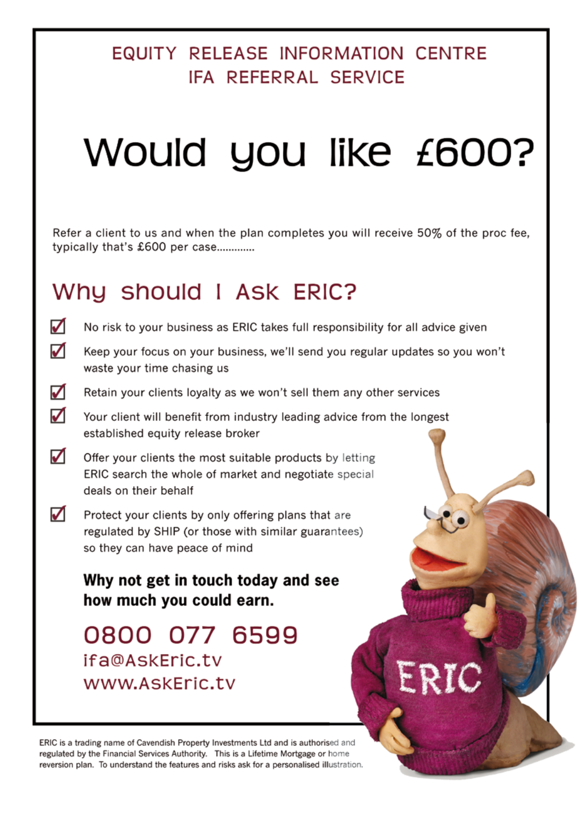# EQUITY RELEASE INFORMATION CENTRE **IFA REFERRAL SERVICE**

# Would you like £600?

Refer a client to us and when the plan completes you will receive 50% of the proc fee. typically that's £600 per case.............

# Why should I ASK ERIC?

- ☑ No risk to your business as ERIC takes full responsibility for all advice given
- ☑ Keep your focus on your business, we'll send you regular updates so you won't waste your time chasing us
- ☑ Retain your clients loyalty as we won't sell them any other services
- ✓ Your client will benefit from industry leading advice from the longest established equity release broker
- ☑ Offer your clients the most suitable products by letting ERIC search the whole of market and negotiate special deals on their behalf
- $\blacktriangledown$ Protect your clients by only offering plans that are regulated by SHIP (or those with similar guarantees) so they can have peace of mind

### Why not get in touch today and see how much you could earn.

0800 077 6599 ifa@AskEric.tv www.AskEric.tv

ERIC is a trading name of Cavendish Property Investments Ltd and is authorised and regulated by the Financial Services Authority. This is a Lifetime Mortgage or home reversion plan. To understand the features and risks ask for a personalised illustration.